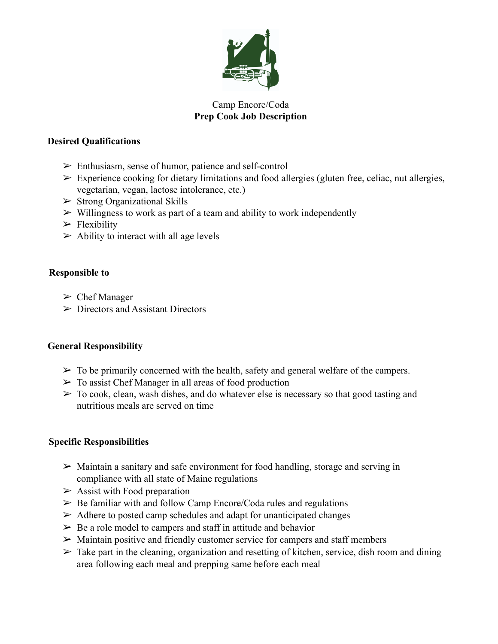

# Camp Encore/Coda **Prep Cook Job Description**

## **Desired Qualifications**

- ➢ Enthusiasm, sense of humor, patience and self-control
- $\triangleright$  Experience cooking for dietary limitations and food allergies (gluten free, celiac, nut allergies, vegetarian, vegan, lactose intolerance, etc.)
- $\triangleright$  Strong Organizational Skills
- $\triangleright$  Willingness to work as part of a team and ability to work independently
- $\blacktriangleright$  Flexibility
- $\triangleright$  Ability to interact with all age levels

## **Responsible to**

- $\triangleright$  Chef Manager
- $\triangleright$  Directors and Assistant Directors

# **General Responsibility**

- $\triangleright$  To be primarily concerned with the health, safety and general welfare of the campers.
- $\triangleright$  To assist Chef Manager in all areas of food production
- $\triangleright$  To cook, clean, wash dishes, and do whatever else is necessary so that good tasting and nutritious meals are served on time

#### **Specific Responsibilities**

- $\triangleright$  Maintain a sanitary and safe environment for food handling, storage and serving in compliance with all state of Maine regulations
- $\triangleright$  Assist with Food preparation
- $\geq$  Be familiar with and follow Camp Encore/Coda rules and regulations
- $\triangleright$  Adhere to posted camp schedules and adapt for unanticipated changes
- $\triangleright$  Be a role model to campers and staff in attitude and behavior
- $\triangleright$  Maintain positive and friendly customer service for campers and staff members
- $\triangleright$  Take part in the cleaning, organization and resetting of kitchen, service, dish room and dining area following each meal and prepping same before each meal